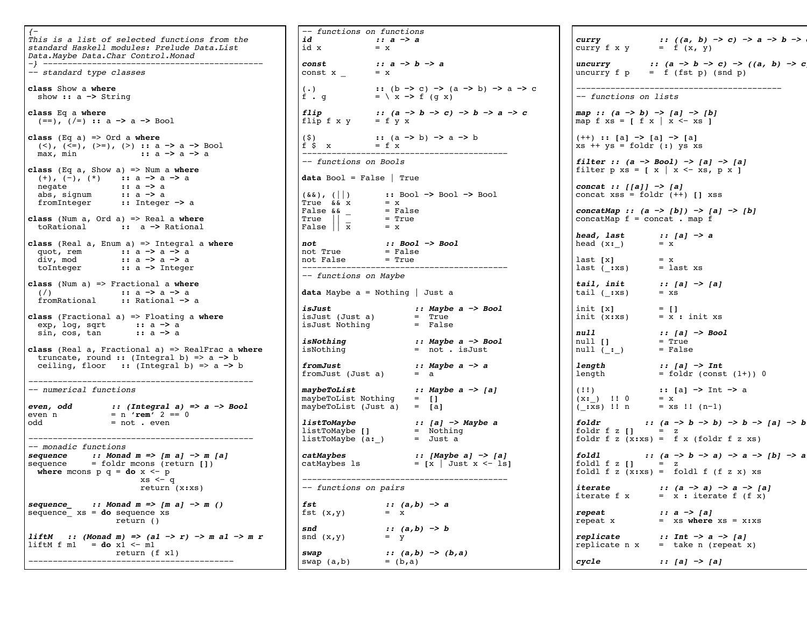{− This is a list of selected functions from the standard Haskell modules: Prelude Data.List Data.Maybe Data.Char Control.Monad −} −−−−−−−−−−−−−−−−−−−−−−−−−−−−−−−−−−−−−−−−−−−−− −− standard type classes **class** Show a **where** show **::** a **−>** String **class** Eq a **where** (==), (/=) **::** a **−>** a **−>** Bool **class** (Eq a) => Ord a **where** (<), (<=), (>=), (>) **::** a → a → Bool max, min <br>**::** a → a → a max, min **::** a **−>** a **−>** a **class** (Eq a, Show a) => Num a **where** (+), (−), (\*) **::** a **−>** a **−>** a negate **::** a **−>** a abs, signum **::** a **−>** a fromInteger **::** Integer **−>** a **class** (Num a, Ord a) => Real a **where** toRational **::** a **−>** Rational **class** (Real a, Enum a) => Integral a **where** quot, rem **::** a **−>** a **−>** a div, mod **::** a **−>** a **−>** a toInteger **::** a **−>** Integer **class** (Num a) => Fractional a **where** (/) **::** a **−>** a **−>** a fromRational **::** Rational **−>** a **class** (Fractional a) => Floating a **where** exp, log, sqrt **::** a **−>** a sin, cos, tan **::** a **−>** a **class** (Real a, Fractional a) => RealFrac a **where** truncate, round **::** (Integral b) => a **−>** b ceiling, floor **::** (Integral b) => a **−>** b −−−−−−−−−−−−−−−−−−−−−−−−−−−−−−−−−−−−−−−−−−−−−− −− numerical functions **even, odd :: (Integral a) => a −> Bool** even n = n **'rem'** 2 == 0 odd = not . even −−−−−−−−−−−−−−−−−−−−−−−−−−−−−−−−−−− −− monadic functions **sequence :: Monad m => [m a] −> m [a]**  sequence = foldr mcons (return **[]**) **where** mcons  $p$   $q = do x < -p$  xs <− q return (x**:**xs) **sequence\_ :: Monad m => [m a] −> m ()**  sequence\_ xs = **do** sequence xs return () **liftM :: (Monad m) => (a1 −> r) −> m a1 −> m r** liftM f  $ml$  = **do**  $x_1$  <-  $m1$  return (f x1) −−−−−−−−−−−−−−−−−−−−−−−−−−−−−−−−−−−−−−−−−−

−− functions on functions *id* **:: a −> a**<br>id x = x  $id \times$ **const :: a −> b −> a** const  $x = x$ (.) **::** (b **−>** c) **−>** (a **−>** b) **−>** a **−>** c (.) <br>f . q = \ x -> f (q x) **flip :: (a −> b −> c) −> b −> a −> c** flip  $f \times y = f \times x$ (\$) **::** (a **−>** b) **−>** a **−>** b f  $\sin x = f x$ −−−−−−−−−−−−−−−−−−−−−−−−−−−−−−−−−−−− −− functions on Bools **data** Bool = False | True (&&), (||) **::** Bool **−>** Bool **−>** Bool True  $\&& x = x$ <br>False  $& x =$  False  $\begin{array}{ccc} \text{True} & \text{True} & \text{-----} \\ \text{False} & \text{& = False} \\ \text{True} & \text{-----} & \text{= True} \end{array}$  $\begin{array}{ccc} \texttt{True} & || \end{array}$  = True False  $|\overline{x}| = x$ **not :: Bool −> Bool** not True = False not False  $=$  True −− functions on Maybe **data** Maybe a = Nothing | Just a **isJust :: Maybe a −> Bool** isJust (Just a) = True<br>isJust Nothing = False isJust Nothing **isNothing :: Maybe a −> Bool** = not . isJust **fromJust :: Maybe a −> a** fromJust (Just a) **maybeToList :: Maybe a −> [a]** maybeToList Nothing = **[]** maybeToList (Just a) = **[**a**] listToMaybe :: [a] −> Maybe a** listToMaybe **[]** = Nothing listToMaybe (a**:**\_) = Just a **catMaybes :: [Maybe a] −> [a]** catMaybes ls = **[**x | Just x <− ls**]** −−−−−−−−−−−−−−−−−−−−−−−−−−−−−−−−−−−−−−−−−− −− functions on pairs *fst* **:: (a,b) −> a**<br>fst (x,y) = x fst  $(x,y)$ **snd**  $: (a, b) \to b$ <br>
snd  $(x, y) = y$ snd  $(x,y)$ **swap :: (a,b) −> (b,a)**  $swap (a,b) = (b,a)$ 

**curry :: ((a, b) −> c) −> a −> b −> c** curry  $f \times y = f(x, y)$  $uncurray$  :: (a −> b −> c) −> ((a, b) −> c uncurry  $f p = f (fst p) (snd p)$ −−−−−−−−−−−−−−−−−−−−−−−−−−−−−−−−−−−− −− functions on lists **map :: (a −> b) −> [a] −> [b]** map f  $xs = \int f x \mid x \leftarrow xs$ (++) **:: [**a**] −> [**a**] −> [**a**]** xs ++ ys = foldr (**:**) ys xs **filter :: (a −> Bool) −> [a] −> [a]** filter  $p$  xs =  $\lceil x \rceil$  x <- xs,  $p x$  ] **concat :: [[a]] −> [a]** concat xss = foldr (++) **[]** xss **concatMap :: (a −> [b]) −> [a] −> [b]**  $concatMap f = concat . map f$ **head, last :: [a] −> a** head  $(x: )$  = x  $\begin{bmatrix} x \\ y \end{bmatrix} = x$  $\frac{1}{2}$  last (:xs) = last xs **tail, init :: [a] −> [a]** tail  $(-\mathbf{xs}) = \mathbf{x}\mathbf{s}$ init **[**x**]** = **[]** init (x**:**xs) = x **:** init xs **null :: [a] −> Bool** null **[]** = True null (\_**:**\_) = False **length ::** [a] <sup>→</sup> Int<br>length = foldr (const  $=$  foldr (const  $(1+)$ ) 0 (!!) **:: [**a**] −>** Int **−>** a  $(x : )$  !! 0 = x (\_**:**xs) !! n = xs !! (n−1) **foldr :: (a −> b −> b) −> b −> [a] −> b** foldr f z **[]** = z foldr  $f \, z \,$   $(x:xs) = f \, x \,$  (foldr  $f \, z \, xs$ ) **foldl :: (a −> b −> a) −> a −> [b] −> a** foldl  $f \, z \, I$ **]**  $= z$ foldl f z (x**:**xs) = foldl f (f z x) xs **iterate :: (a −> a) −> a −> [a]** iterate f  $x = x :$  iterate f  $(f x)$ **repeat :: a −> [a]** repeat x = xs **where** xs = x**:**xs **replicate :: Int −> a −> [a]** replicate  $n \times 7 = 1$  take n (repeat x) **cycle :: [a] −> [a]**